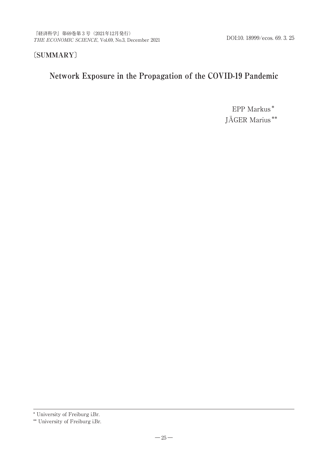## **〔SUMMARY〕**

## **Network Exposure in the Propagation of the COVID-19 Pandemic**

EPP Markus\* JÄGER Marius\*\*

<sup>\*</sup> University of Freiburg i.Br.

<sup>\*\*</sup> University of Freiburg i.Br.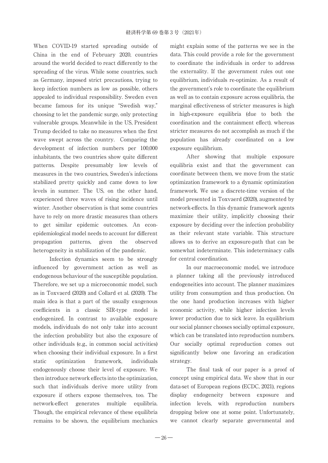When COVID-19 started spreading outside of China in the end of February 2020, countries around the world decided to react differently to the spreading of the virus. While some countries, such as Germany, imposed strict precautions, trying to keep infection numbers as low as possible, others appealed to individual responsibility. Sweden even became famous for its unique "Swedish way," choosing to let the pandemic surge, only protecting vulnerable groups. Meanwhile in the US, President Trump decided to take no measures when the first wave swept across the country. Comparing the development of infection numbers per 100,000 inhabitants, the two countries show quite different patterns. Despite presumably low levels of measures in the two countries, Sweden's infections stabilized pretty quickly and came down to low levels in summer. The US, on the other hand, experienced three waves of rising incidence until winter. Another observation is that some countries have to rely on more drastic measures than others to get similar epidemic outcomes. An econepidemiological model needs to account for different propagation patterns, given the observed heterogeneity in stabilization of the pandemic.

Infection dynamics seem to be strongly influenced by government action as well as endogenous behaviour of the susceptible population. Therefore, we set up a microeconomic model, such as in Toxvaerd (2020) and Collard et al. (2020). The main idea is that a part of the usually exogenous coefficients in a classic SIR-type model is endogenized. In contrast to available exposure models, individuals do not only take into account the infection probability but also the exposure of other individuals (e.g., in common social activities) when choosing their individual exposure. In a first static optimization framework, individuals endogenously choose their level of exposure. We then introduce network effects into the optimization, such that individuals derive more utility from exposure if others expose themselves, too. The network-effect generates multiple equilibria. Though, the empirical relevance of these equilibria remains to be shown, the equilibrium mechanics might explain some of the patterns we see in the data. This could provide a role for the government to coordinate the individuals in order to address the externality. If the government rules out one equilibrium, individuals re-optimize. As a result of the government's role to coordinate the equilibrium as well as to contain exposure across equilibria, the marginal effectiveness of stricter measures is high in high-exposure equilibria (due to both the coordination and the containment effect), whereas stricter measures do not accomplish as much if the population has already coordinated on a low exposure equilibrium.

After showing that multiple exposure equilibria exist and that the government can coordinate between them, we move from the static optimization framework to a dynamic optimization framework. We use a discrete-time version of the model presented in Toxvaerd (2020), augmented by network-effects. In this dynamic framework agents maximize their utility, implicitly choosing their exposure by deciding over the infection probability as their relevant state variable. This structure allows us to derive an exposure-path that can be somewhat indeterminate. This indeterminacy calls for central coordination.

In our macroeconomic model, we introduce a planner taking all the previously introduced endogeneities into account. The planner maximizes utility from consumption and thus production. On the one hand production increases with higher economic activity, while higher infection levels lower production due to sick leave. In equilibrium our social planner chooses socially optimal exposure, which can be translated into reproduction numbers. Our socially optimal reproduction comes out significantly below one favoring an eradication strategy.

The final task of our paper is a proof of concept using empirical data. We show that in our data-set of European regions (ECDC, 2021), regions display endogeneity between exposure and infection levels, with reproduction numbers dropping below one at some point. Unfortunately, we cannot clearly separate governmental and